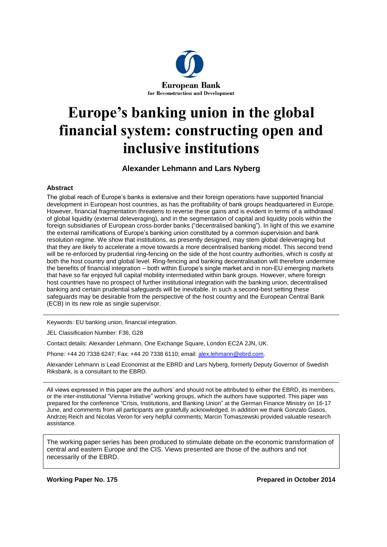

# **Europe's banking union in the global financial system: constructing open and inclusive institutions**

#### **Alexander Lehmann and Lars Nyberg**

#### **Abstract**

The global reach of Europe's banks is extensive and their foreign operations have supported financial development in European host countries, as has the profitability of bank groups headquartered in Europe. However, financial fragmentation threatens to reverse these gains and is evident in terms of a withdrawal of global liquidity (external deleveraging), and in the segmentation of capital and liquidity pools within the foreign subsidiaries of European cross-border banks ("decentralised banking"). In light of this we examine the external ramifications of Europe's banking union constituted by a common supervision and bank resolution regime. We show that institutions, as presently designed, may stem global deleveraging but that they are likely to accelerate a move towards a more decentralised banking model. This second trend will be re-enforced by prudential ring-fencing on the side of the host country authorities, which is costly at both the host country and global level. Ring-fencing and banking decentralisation will therefore undermine the benefits of financial integration – both within Europe's single market and in non-EU emerging markets that have so far enjoyed full capital mobility intermediated within bank groups. However, where foreign host countries have no prospect of further institutional integration with the banking union, decentralised banking and certain prudential safeguards will be inevitable. In such a second-best setting these safeguards may be desirable from the perspective of the host country and the European Central Bank (ECB) in its new role as single supervisor.

Keywords: EU banking union, financial integration.

JEL Classification Number: F36, G28

Contact details: Alexander Lehmann, One Exchange Square, London EC2A 2JN, UK.

Phone: +44 20 7338 6247; Fax: +44 20 7338 6110; email: [alex.lehmann@ebrd.com.](mailto:alex.lehmann@ebrd.com)

Alexander Lehmann is Lead Economist at the EBRD and Lars Nyberg, formerly Deputy Governor of Swedish Riksbank, is a consultant to the EBRD.

All views expressed in this paper are the authors' and should not be attributed to either the EBRD, its members, or the inter-institutional "Vienna Initiative" working groups, which the authors have supported. This paper was prepared for the conference "Crisis, Institutions, and Banking Union" at the German Finance Ministry on 16-17 June, and comments from all participants are gratefully acknowledged. In addition we thank Gonzalo Gasos, Andrzej Reich and Nicolas Veron for very helpful comments; Marcin Tomaszewski provided valuable research assistance.

The working paper series has been produced to stimulate debate on the economic transformation of central and eastern Europe and the CIS. Views presented are those of the authors and not necessarily of the EBRD.

**Working Paper No. 175 Prepared in October 2014**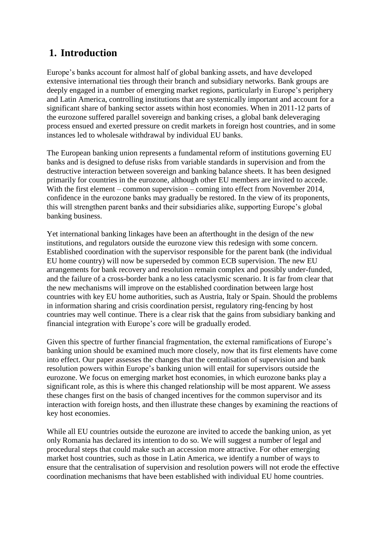# **1. Introduction**

Europe's banks account for almost half of global banking assets, and have developed extensive international ties through their branch and subsidiary networks. Bank groups are deeply engaged in a number of emerging market regions, particularly in Europe's periphery and Latin America, controlling institutions that are systemically important and account for a significant share of banking sector assets within host economies. When in 2011-12 parts of the eurozone suffered parallel sovereign and banking crises, a global bank deleveraging process ensued and exerted pressure on credit markets in foreign host countries, and in some instances led to wholesale withdrawal by individual EU banks.

The European banking union represents a fundamental reform of institutions governing EU banks and is designed to defuse risks from variable standards in supervision and from the destructive interaction between sovereign and banking balance sheets. It has been designed primarily for countries in the eurozone, although other EU members are invited to accede. With the first element – common supervision – coming into effect from November 2014, confidence in the eurozone banks may gradually be restored. In the view of its proponents, this will strengthen parent banks and their subsidiaries alike, supporting Europe's global banking business.

Yet international banking linkages have been an afterthought in the design of the new institutions, and regulators outside the eurozone view this redesign with some concern. Established coordination with the supervisor responsible for the parent bank (the individual EU home country) will now be superseded by common ECB supervision. The new EU arrangements for bank recovery and resolution remain complex and possibly under-funded, and the failure of a cross-border bank a no less cataclysmic scenario. It is far from clear that the new mechanisms will improve on the established coordination between large host countries with key EU home authorities, such as Austria, Italy or Spain. Should the problems in information sharing and crisis coordination persist, regulatory ring-fencing by host countries may well continue. There is a clear risk that the gains from subsidiary banking and financial integration with Europe's core will be gradually eroded.

Given this spectre of further financial fragmentation, the external ramifications of Europe's banking union should be examined much more closely, now that its first elements have come into effect. Our paper assesses the changes that the centralisation of supervision and bank resolution powers within Europe's banking union will entail for supervisors outside the eurozone. We focus on emerging market host economies, in which eurozone banks play a significant role, as this is where this changed relationship will be most apparent. We assess these changes first on the basis of changed incentives for the common supervisor and its interaction with foreign hosts, and then illustrate these changes by examining the reactions of key host economies.

While all EU countries outside the eurozone are invited to accede the banking union, as yet only Romania has declared its intention to do so. We will suggest a number of legal and procedural steps that could make such an accession more attractive. For other emerging market host countries, such as those in Latin America, we identify a number of ways to ensure that the centralisation of supervision and resolution powers will not erode the effective coordination mechanisms that have been established with individual EU home countries.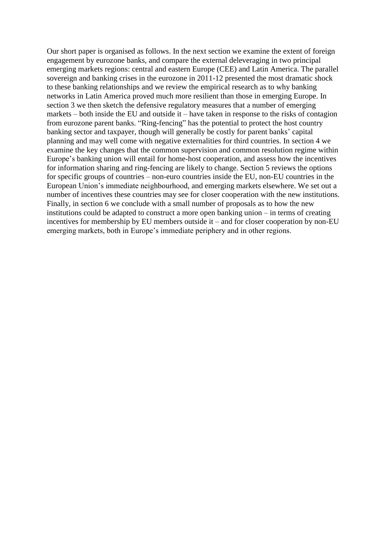Our short paper is organised as follows. In the next section we examine the extent of foreign engagement by eurozone banks, and compare the external deleveraging in two principal emerging markets regions: central and eastern Europe (CEE) and Latin America. The parallel sovereign and banking crises in the eurozone in 2011-12 presented the most dramatic shock to these banking relationships and we review the empirical research as to why banking networks in Latin America proved much more resilient than those in emerging Europe. In section 3 we then sketch the defensive regulatory measures that a number of emerging markets – both inside the EU and outside it – have taken in response to the risks of contagion from eurozone parent banks. "Ring-fencing" has the potential to protect the host country banking sector and taxpayer, though will generally be costly for parent banks' capital planning and may well come with negative externalities for third countries. In section 4 we examine the key changes that the common supervision and common resolution regime within Europe's banking union will entail for home-host cooperation, and assess how the incentives for information sharing and ring-fencing are likely to change. Section 5 reviews the options for specific groups of countries – non-euro countries inside the EU, non-EU countries in the European Union's immediate neighbourhood, and emerging markets elsewhere. We set out a number of incentives these countries may see for closer cooperation with the new institutions. Finally, in section 6 we conclude with a small number of proposals as to how the new institutions could be adapted to construct a more open banking union – in terms of creating incentives for membership by EU members outside it – and for closer cooperation by non-EU emerging markets, both in Europe's immediate periphery and in other regions.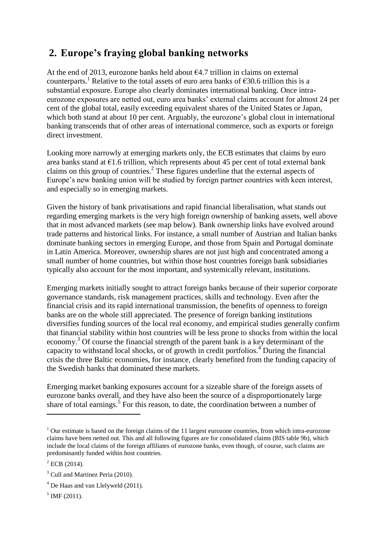# **2. Europe's fraying global banking networks**

At the end of 2013, eurozone banks held about  $64.7$  trillion in claims on external counterparts.<sup>1</sup> Relative to the total assets of euro area banks of  $\epsilon$ 30.6 trillion this is a substantial exposure. Europe also clearly dominates international banking. Once intraeurozone exposures are netted out, euro area banks' external claims account for almost 24 per cent of the global total, easily exceeding equivalent shares of the United States or Japan, which both stand at about 10 per cent. Arguably, the eurozone's global clout in international banking transcends that of other areas of international commerce, such as exports or foreign direct investment.

Looking more narrowly at emerging markets only, the ECB estimates that claims by euro area banks stand at  $\epsilon$ 1.6 trillion, which represents about 45 per cent of total external bank claims on this group of countries.<sup>2</sup> These figures underline that the external aspects of Europe's new banking union will be studied by foreign partner countries with keen interest, and especially so in emerging markets.

Given the history of bank privatisations and rapid financial liberalisation, what stands out regarding emerging markets is the very high foreign ownership of banking assets, well above that in most advanced markets (see map below). Bank ownership links have evolved around trade patterns and historical links. For instance, a small number of Austrian and Italian banks dominate banking sectors in emerging Europe, and those from Spain and Portugal dominate in Latin America. Moreover, ownership shares are not just high and concentrated among a small number of home countries, but within those host countries foreign bank subsidiaries typically also account for the most important, and systemically relevant, institutions.

Emerging markets initially sought to attract foreign banks because of their superior corporate governance standards, risk management practices, skills and technology. Even after the financial crisis and its rapid international transmission, the benefits of openness to foreign banks are on the whole still appreciated. The presence of foreign banking institutions diversifies funding sources of the local real economy, and empirical studies generally confirm that financial stability within host countries will be less prone to shocks from within the local economy.<sup>3</sup> Of course the financial strength of the parent bank is a key determinant of the capacity to withstand local shocks, or of growth in credit portfolios.<sup>4</sup> During the financial crisis the three Baltic economies, for instance, clearly benefited from the funding capacity of the Swedish banks that dominated these markets.

Emerging market banking exposures account for a sizeable share of the foreign assets of eurozone banks overall, and they have also been the source of a disproportionately large share of total earnings.<sup>5</sup> For this reason, to date, the coordination between a number of

<sup>&</sup>lt;sup>1</sup> Our estimate is based on the foreign claims of the 11 largest eurozone countries, from which intra-eurozone claims have been netted out. This and all following figures are for consolidated claims (BIS table 9b), which include the local claims of the foreign affiliates of eurozone banks, even though, of course, such claims are predominantly funded within host countries.

 $2$  ECB (2014).

<sup>&</sup>lt;sup>3</sup> Cull and Martinez Peria (2010).

<sup>4</sup> De Haas and van Llelyweld (2011).

 $<sup>5</sup>$  IMF (2011).</sup>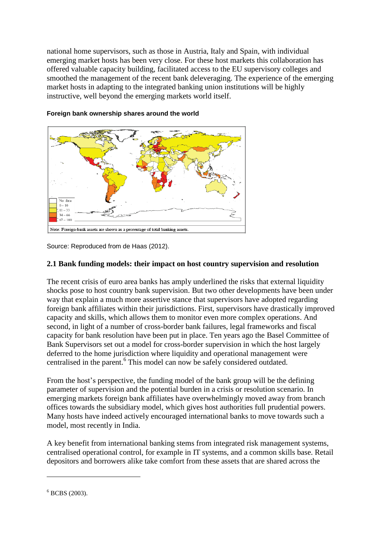national home supervisors, such as those in Austria, Italy and Spain, with individual emerging market hosts has been very close. For these host markets this collaboration has offered valuable capacity building, facilitated access to the EU supervisory colleges and smoothed the management of the recent bank deleveraging. The experience of the emerging market hosts in adapting to the integrated banking union institutions will be highly instructive, well beyond the emerging markets world itself.



#### **Foreign bank ownership shares around the world**

Source: Reproduced from de Haas (2012).

#### **2.1 Bank funding models: their impact on host country supervision and resolution**

The recent crisis of euro area banks has amply underlined the risks that external liquidity shocks pose to host country bank supervision. But two other developments have been under way that explain a much more assertive stance that supervisors have adopted regarding foreign bank affiliates within their jurisdictions. First, supervisors have drastically improved capacity and skills, which allows them to monitor even more complex operations. And second, in light of a number of cross-border bank failures, legal frameworks and fiscal capacity for bank resolution have been put in place. Ten years ago the Basel Committee of Bank Supervisors set out a model for cross-border supervision in which the host largely deferred to the home jurisdiction where liquidity and operational management were centralised in the parent.<sup>6</sup> This model can now be safely considered outdated.

From the host's perspective, the funding model of the bank group will be the defining parameter of supervision and the potential burden in a crisis or resolution scenario. In emerging markets foreign bank affiliates have overwhelmingly moved away from branch offices towards the subsidiary model, which gives host authorities full prudential powers. Many hosts have indeed actively encouraged international banks to move towards such a model, most recently in India.

A key benefit from international banking stems from integrated risk management systems, centralised operational control, for example in IT systems, and a common skills base. Retail depositors and borrowers alike take comfort from these assets that are shared across the

 $6$  BCBS (2003).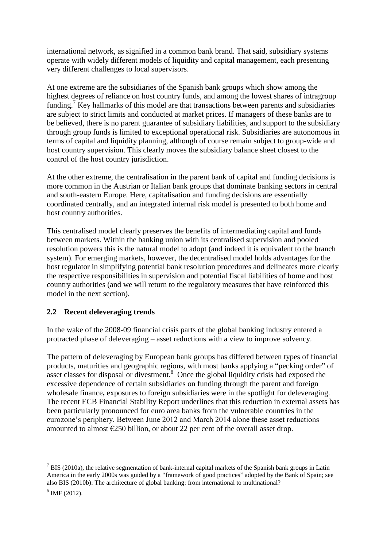international network, as signified in a common bank brand. That said, subsidiary systems operate with widely different models of liquidity and capital management, each presenting very different challenges to local supervisors.

At one extreme are the subsidiaries of the Spanish bank groups which show among the highest degrees of reliance on host country funds, and among the lowest shares of intragroup funding.<sup>7</sup> Key hallmarks of this model are that transactions between parents and subsidiaries are subject to strict limits and conducted at market prices. If managers of these banks are to be believed, there is no parent guarantee of subsidiary liabilities, and support to the subsidiary through group funds is limited to exceptional operational risk. Subsidiaries are autonomous in terms of capital and liquidity planning, although of course remain subject to group-wide and host country supervision. This clearly moves the subsidiary balance sheet closest to the control of the host country jurisdiction.

At the other extreme, the centralisation in the parent bank of capital and funding decisions is more common in the Austrian or Italian bank groups that dominate banking sectors in central and south-eastern Europe. Here, capitalisation and funding decisions are essentially coordinated centrally, and an integrated internal risk model is presented to both home and host country authorities.

This centralised model clearly preserves the benefits of intermediating capital and funds between markets. Within the banking union with its centralised supervision and pooled resolution powers this is the natural model to adopt (and indeed it is equivalent to the branch system). For emerging markets, however, the decentralised model holds advantages for the host regulator in simplifying potential bank resolution procedures and delineates more clearly the respective responsibilities in supervision and potential fiscal liabilities of home and host country authorities (and we will return to the regulatory measures that have reinforced this model in the next section).

### **2.2 Recent deleveraging trends**

In the wake of the 2008-09 financial crisis parts of the global banking industry entered a protracted phase of deleveraging – asset reductions with a view to improve solvency.

The pattern of deleveraging by European bank groups has differed between types of financial products, maturities and geographic regions, with most banks applying a "pecking order" of asset classes for disposal or divestment.<sup>8</sup> Once the global liquidity crisis had exposed the excessive dependence of certain subsidiaries on funding through the parent and foreign wholesale finance**,** exposures to foreign subsidiaries were in the spotlight for deleveraging. The recent ECB Financial Stability Report underlines that this reduction in external assets has been particularly pronounced for euro area banks from the vulnerable countries in the eurozone's periphery. Between June 2012 and March 2014 alone these asset reductions amounted to almost  $\epsilon$ 250 billion, or about 22 per cent of the overall asset drop.

 $7$  BIS (2010a), the relative segmentation of bank-internal capital markets of the Spanish bank groups in Latin America in the early 2000s was guided by a "framework of good practices" adopted by the Bank of Spain; see also BIS (2010b): The architecture of global banking: from international to multinational?

<sup>8</sup> IMF (2012).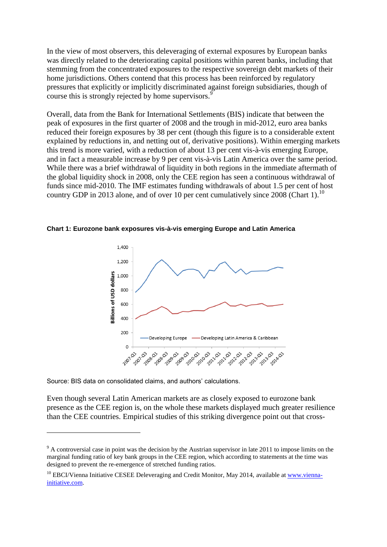In the view of most observers, this deleveraging of external exposures by European banks was directly related to the deteriorating capital positions within parent banks, including that stemming from the concentrated exposures to the respective sovereign debt markets of their home jurisdictions. Others contend that this process has been reinforced by regulatory pressures that explicitly or implicitly discriminated against foreign subsidiaries, though of course this is strongly rejected by home supervisors.<sup>9</sup>

Overall, data from the Bank for International Settlements (BIS) indicate that between the peak of exposures in the first quarter of 2008 and the trough in mid-2012, euro area banks reduced their foreign exposures by 38 per cent (though this figure is to a considerable extent explained by reductions in, and netting out of, derivative positions). Within emerging markets this trend is more varied, with a reduction of about 13 per cent vis-à-vis emerging Europe, and in fact a measurable increase by 9 per cent vis-à-vis Latin America over the same period. While there was a brief withdrawal of liquidity in both regions in the immediate aftermath of the global liquidity shock in 2008, only the CEE region has seen a continuous withdrawal of funds since mid-2010. The IMF estimates funding withdrawals of about 1.5 per cent of host country GDP in 2013 alone, and of over 10 per cent cumulatively since  $2008$  (Chart 1).<sup>10</sup>

**Chart 1: Eurozone bank exposures vis-à-vis emerging Europe and Latin America**



Source: BIS data on consolidated claims, and authors' calculations.

1

Even though several Latin American markets are as closely exposed to eurozone bank presence as the CEE region is, on the whole these markets displayed much greater resilience than the CEE countries. Empirical studies of this striking divergence point out that cross-

<sup>&</sup>lt;sup>9</sup> A controversial case in point was the decision by the Austrian supervisor in late 2011 to impose limits on the marginal funding ratio of key bank groups in the CEE region, which according to statements at the time was designed to prevent the re-emergence of stretched funding ratios.

<sup>&</sup>lt;sup>10</sup> EBCI/Vienna Initiative CESEE Deleveraging and Credit Monitor, May 2014, available a[t www.vienna](http://www.vienna-initiative.com/)[initiative.com.](http://www.vienna-initiative.com/)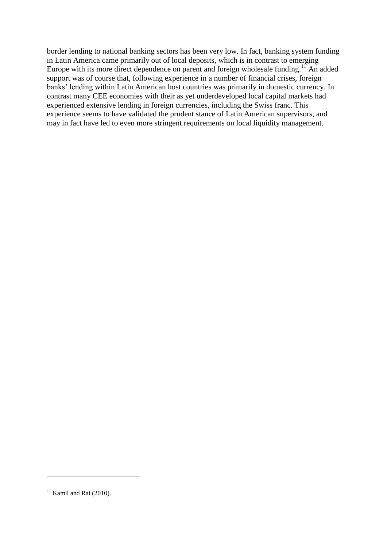border lending to national banking sectors has been very low. In fact, banking system funding in Latin America came primarily out of local deposits, which is in contrast to emerging Europe with its more direct dependence on parent and foreign wholesale funding.<sup>11</sup> An added support was of course that, following experience in a number of financial crises, foreign banks' lending within Latin American host countries was primarily in domestic currency. In contrast many CEE economies with their as yet underdeveloped local capital markets had experienced extensive lending in foreign currencies, including the Swiss franc. This experience seems to have validated the prudent stance of Latin American supervisors, and may in fact have led to even more stringent requirements on local liquidity management.

 $11$  Kamil and Rai (2010).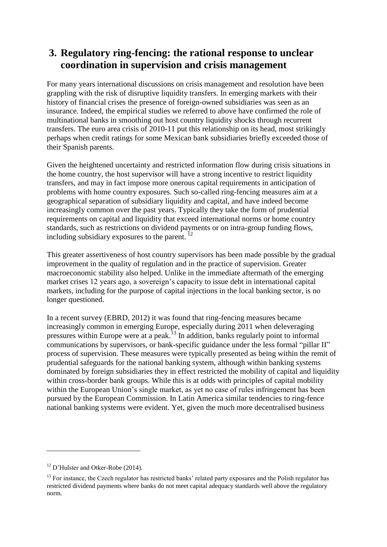# **3. Regulatory ring-fencing: the rational response to unclear coordination in supervision and crisis management**

For many years international discussions on crisis management and resolution have been grappling with the risk of disruptive liquidity transfers. In emerging markets with their history of financial crises the presence of foreign-owned subsidiaries was seen as an insurance. Indeed, the empirical studies we referred to above have confirmed the role of multinational banks in smoothing out host country liquidity shocks through recurrent transfers. The euro area crisis of 2010-11 put this relationship on its head, most strikingly perhaps when credit ratings for some Mexican bank subsidiaries briefly exceeded those of their Spanish parents.

Given the heightened uncertainty and restricted information flow during crisis situations in the home country, the host supervisor will have a strong incentive to restrict liquidity transfers, and may in fact impose more onerous capital requirements in anticipation of problems with home country exposures. Such so-called ring-fencing measures aim at a geographical separation of subsidiary liquidity and capital, and have indeed become increasingly common over the past years. Typically they take the form of prudential requirements on capital and liquidity that exceed international norms or home country standards, such as restrictions on dividend payments or on intra-group funding flows, including subsidiary exposures to the parent.  $^{12}$ 

This greater assertiveness of host country supervisors has been made possible by the gradual improvement in the quality of regulation and in the practice of supervision. Greater macroeconomic stability also helped. Unlike in the immediate aftermath of the emerging market crises 12 years ago, a sovereign's capacity to issue debt in international capital markets, including for the purpose of capital injections in the local banking sector, is no longer questioned.

In a recent survey (EBRD, 2012) it was found that ring-fencing measures became increasingly common in emerging Europe, especially during 2011 when deleveraging pressures within Europe were at a peak.<sup>13</sup> In addition, banks regularly point to informal communications by supervisors, or bank-specific guidance under the less formal "pillar II" process of supervision. These measures were typically presented as being within the remit of prudential safeguards for the national banking system, although within banking systems dominated by foreign subsidiaries they in effect restricted the mobility of capital and liquidity within cross-border bank groups. While this is at odds with principles of capital mobility within the European Union's single market, as yet no case of rules infringement has been pursued by the European Commission. In Latin America similar tendencies to ring-fence national banking systems were evident. Yet, given the much more decentralised business

<sup>&</sup>lt;sup>12</sup> D'Hulster and Otker-Robe (2014).

 $13$  For instance, the Czech regulator has restricted banks' related party exposures and the Polish regulator has restricted dividend payments where banks do not meet capital adequacy standards well above the regulatory norm.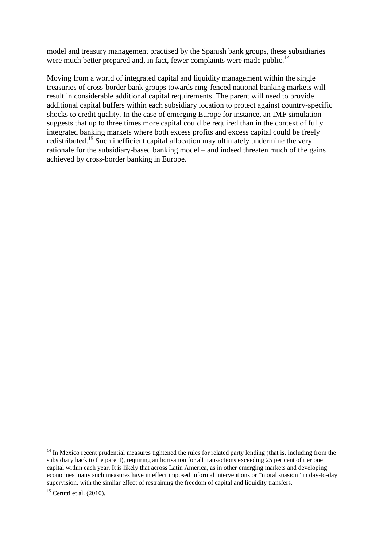model and treasury management practised by the Spanish bank groups, these subsidiaries were much better prepared and, in fact, fewer complaints were made public.<sup>14</sup>

Moving from a world of integrated capital and liquidity management within the single treasuries of cross-border bank groups towards ring-fenced national banking markets will result in considerable additional capital requirements. The parent will need to provide additional capital buffers within each subsidiary location to protect against country-specific shocks to credit quality. In the case of emerging Europe for instance, an IMF simulation suggests that up to three times more capital could be required than in the context of fully integrated banking markets where both excess profits and excess capital could be freely redistributed.<sup>15</sup> Such inefficient capital allocation may ultimately undermine the very rationale for the subsidiary-based banking model – and indeed threaten much of the gains achieved by cross-border banking in Europe.

 $14$  In Mexico recent prudential measures tightened the rules for related party lending (that is, including from the subsidiary back to the parent), requiring authorisation for all transactions exceeding 25 per cent of tier one capital within each year. It is likely that across Latin America, as in other emerging markets and developing economies many such measures have in effect imposed informal interventions or "moral suasion" in day-to-day supervision, with the similar effect of restraining the freedom of capital and liquidity transfers.

 $15$  Cerutti et al. (2010).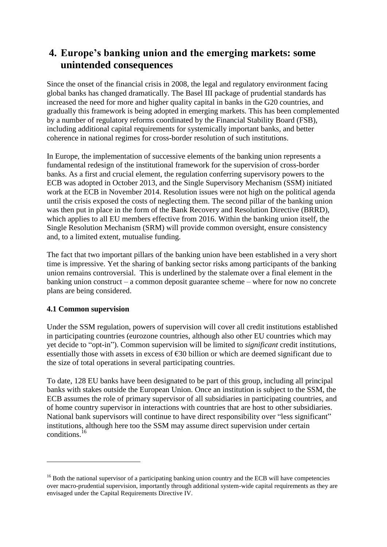# **4. Europe's banking union and the emerging markets: some unintended consequences**

Since the onset of the financial crisis in 2008, the legal and regulatory environment facing global banks has changed dramatically. The Basel III package of prudential standards has increased the need for more and higher quality capital in banks in the G20 countries, and gradually this framework is being adopted in emerging markets. This has been complemented by a number of regulatory reforms coordinated by the Financial Stability Board (FSB), including additional capital requirements for systemically important banks, and better coherence in national regimes for cross-border resolution of such institutions.

In Europe, the implementation of successive elements of the banking union represents a fundamental redesign of the institutional framework for the supervision of cross-border banks. As a first and crucial element, the regulation conferring supervisory powers to the ECB was adopted in October 2013, and the Single Supervisory Mechanism (SSM) initiated work at the ECB in November 2014. Resolution issues were not high on the political agenda until the crisis exposed the costs of neglecting them. The second pillar of the banking union was then put in place in the form of the Bank Recovery and Resolution Directive (BRRD), which applies to all EU members effective from 2016. Within the banking union itself, the Single Resolution Mechanism (SRM) will provide common oversight, ensure consistency and, to a limited extent, mutualise funding.

The fact that two important pillars of the banking union have been established in a very short time is impressive. Yet the sharing of banking sector risks among participants of the banking union remains controversial. This is underlined by the stalemate over a final element in the banking union construct – a common deposit guarantee scheme – where for now no concrete plans are being considered.

### **4.1 Common supervision**

1

Under the SSM regulation, powers of supervision will cover all credit institutions established in participating countries (eurozone countries, although also other EU countries which may yet decide to "opt-in"). Common supervision will be limited to *significant* credit institutions, essentially those with assets in excess of €30 billion or which are deemed significant due to the size of total operations in several participating countries.

To date, 128 EU banks have been designated to be part of this group, including all principal banks with stakes outside the European Union. Once an institution is subject to the SSM, the ECB assumes the role of primary supervisor of all subsidiaries in participating countries, and of home country supervisor in interactions with countries that are host to other subsidiaries. National bank supervisors will continue to have direct responsibility over "less significant" institutions, although here too the SSM may assume direct supervision under certain conditions.<sup>16</sup>

<sup>&</sup>lt;sup>16</sup> Both the national supervisor of a participating banking union country and the ECB will have competencies over macro-prudential supervision, importantly through additional system-wide capital requirements as they are envisaged under the Capital Requirements Directive IV.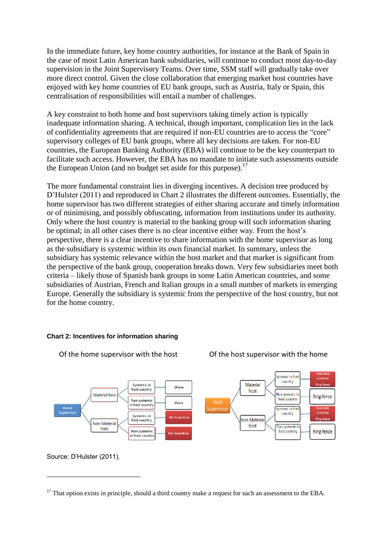In the immediate future, key home country authorities, for instance at the Bank of Spain in the case of most Latin American bank subsidiaries, will continue to conduct most day-to-day supervision in the Joint Supervisory Teams. Over time, SSM staff will gradually take over more direct control. Given the close collaboration that emerging market host countries have enjoyed with key home countries of EU bank groups, such as Austria, Italy or Spain, this centralisation of responsibilities will entail a number of challenges.

A key constraint to both home and host supervisors taking timely action is typically inadequate information sharing. A technical, though important, complication lies in the lack of confidentiality agreements that are required if non-EU countries are to access the "core" supervisory colleges of EU bank groups, where all key decisions are taken. For non-EU countries, the European Banking Authority (EBA) will continue to be the key counterpart to facilitate such access. However, the EBA has no mandate to initiate such assessments outside the European Union (and no budget set aside for this purpose).<sup>17</sup>

The more fundamental constraint lies in diverging incentives. A decision tree produced by D'Hulster (2011) and reproduced in Chart 2 illustrates the different outcomes. Essentially, the home supervisor has two different strategies of either sharing accurate and timely information or of minimising, and possibly obfuscating, information from institutions under its authority. Only where the host country is material to the banking group will such information sharing be optimal; in all other cases there is no clear incentive either way. From the host's perspective, there is a clear incentive to share information with the home supervisor as long as the subsidiary is systemic within its own financial market. In summary, unless the subsidiary has systemic relevance within the host market and that market is significant from the perspective of the bank group, cooperation breaks down. Very few subsidiaries meet both criteria – likely those of Spanish bank groups in some Latin American countries, and some subsidiaries of Austrian, French and Italian groups in a small number of markets in emerging Europe. Generally the subsidiary is systemic from the perspective of the host country, but not for the home country.

#### **Chart 2: Incentives for information sharing**



Of the home supervisor with the host Of the host supervisor with the home

Source: D'Hulster (2011).

 $17$  That option exists in principle, should a third country make a request for such an assessment to the EBA.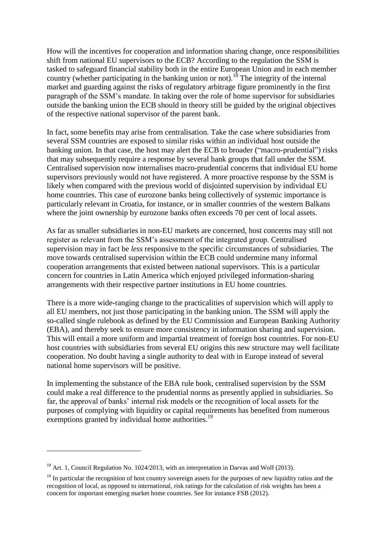How will the incentives for cooperation and information sharing change, once responsibilities shift from national EU supervisors to the ECB? According to the regulation the SSM is tasked to safeguard financial stability both in the entire European Union and in each member country (whether participating in the banking union or not).<sup>18</sup> The integrity of the internal market and guarding against the risks of regulatory arbitrage figure prominently in the first paragraph of the SSM's mandate. In taking over the role of home supervisor for subsidiaries outside the banking union the ECB should in theory still be guided by the original objectives of the respective national supervisor of the parent bank.

In fact, some benefits may arise from centralisation. Take the case where subsidiaries from several SSM countries are exposed to similar risks within an individual host outside the banking union. In that case, the host may alert the ECB to broader ("macro-prudential") risks that may subsequently require a response by several bank groups that fall under the SSM. Centralised supervision now internalises macro-prudential concerns that individual EU home supervisors previously would not have registered. A more proactive response by the SSM is likely when compared with the previous world of disjointed supervision by individual EU home countries. This case of eurozone banks being collectively of systemic importance is particularly relevant in Croatia, for instance, or in smaller countries of the western Balkans where the joint ownership by eurozone banks often exceeds 70 per cent of local assets.

As far as smaller subsidiaries in non-EU markets are concerned, host concerns may still not register as relevant from the SSM's assessment of the integrated group. Centralised supervision may in fact be *less* responsive to the specific circumstances of subsidiaries. The move towards centralised supervision within the ECB could undermine many informal cooperation arrangements that existed between national supervisors. This is a particular concern for countries in Latin America which enjoyed privileged information-sharing arrangements with their respective partner institutions in EU home countries.

There is a more wide-ranging change to the practicalities of supervision which will apply to all EU members, not just those participating in the banking union. The SSM will apply the so-called single rulebook as defined by the EU Commission and European Banking Authority (EBA), and thereby seek to ensure more consistency in information sharing and supervision. This will entail a more uniform and impartial treatment of foreign host countries. For non-EU host countries with subsidiaries from several EU origins this new structure may well facilitate cooperation*.* No doubt having a single authority to deal with in Europe instead of several national home supervisors will be positive.

In implementing the substance of the EBA rule book, centralised supervision by the SSM could make a real difference to the prudential norms as presently applied in subsidiaries. So far, the approval of banks' internal risk models or the recognition of local assets for the purposes of complying with liquidity or capital requirements has benefited from numerous exemptions granted by individual home authorities.<sup>19</sup>

 $18$  Art. 1, Council Regulation No. 1024/2013, with an interpretation in Darvas and Wolf (2013).

 $19$  In particular the recognition of host country sovereign assets for the purposes of new liquidity ratios and the recognition of local, as opposed to international, risk ratings for the calculation of risk weights has been a concern for important emerging market home countries. See for instance FSB (2012).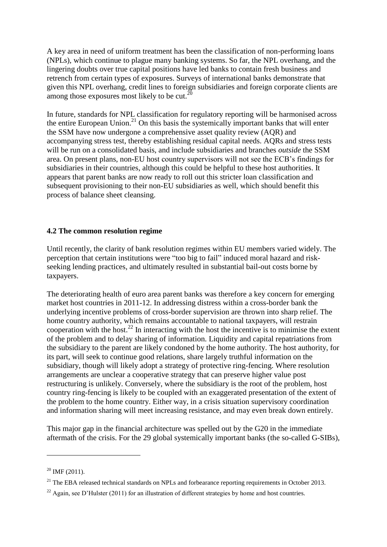A key area in need of uniform treatment has been the classification of non-performing loans (NPLs), which continue to plague many banking systems. So far, the NPL overhang, and the lingering doubts over true capital positions have led banks to contain fresh business and retrench from certain types of exposures. Surveys of international banks demonstrate that given this NPL overhang, credit lines to foreign subsidiaries and foreign corporate clients are among those exposures most likely to be cut. $^{20}$ 

In future, standards for NPL classification for regulatory reporting will be harmonised across the entire European Union.<sup>21</sup> On this basis the systemically important banks that will enter the SSM have now undergone a comprehensive asset quality review (AQR) and accompanying stress test, thereby establishing residual capital needs. AQRs and stress tests will be run on a consolidated basis, and include subsidiaries and branches *outside* the SSM area. On present plans, non-EU host country supervisors will not see the ECB's findings for subsidiaries in their countries, although this could be helpful to these host authorities. It appears that parent banks are now ready to roll out this stricter loan classification and subsequent provisioning to their non-EU subsidiaries as well, which should benefit this process of balance sheet cleansing.

#### **4.2 The common resolution regime**

Until recently, the clarity of bank resolution regimes within EU members varied widely. The perception that certain institutions were "too big to fail" induced moral hazard and riskseeking lending practices, and ultimately resulted in substantial bail-out costs borne by taxpayers.

The deteriorating health of euro area parent banks was therefore a key concern for emerging market host countries in 2011-12. In addressing distress within a cross-border bank the underlying incentive problems of cross-border supervision are thrown into sharp relief. The home country authority, which remains accountable to national taxpayers, will restrain cooperation with the host.<sup>22</sup> In interacting with the host the incentive is to minimise the extent of the problem and to delay sharing of information. Liquidity and capital repatriations from the subsidiary to the parent are likely condoned by the home authority. The host authority, for its part, will seek to continue good relations, share largely truthful information on the subsidiary, though will likely adopt a strategy of protective ring-fencing. Where resolution arrangements are unclear a cooperative strategy that can preserve higher value post restructuring is unlikely. Conversely, where the subsidiary is the root of the problem, host country ring-fencing is likely to be coupled with an exaggerated presentation of the extent of the problem to the home country. Either way, in a crisis situation supervisory coordination and information sharing will meet increasing resistance, and may even break down entirely.

This major gap in the financial architecture was spelled out by the G20 in the immediate aftermath of the crisis. For the 29 global systemically important banks (the so-called G-SIBs),

 $20$  IMF (2011).

 $^{21}$  The EBA released technical standards on NPLs and forbearance reporting requirements in October 2013.

 $^{22}$  Again, see D'Hulster (2011) for an illustration of different strategies by home and host countries.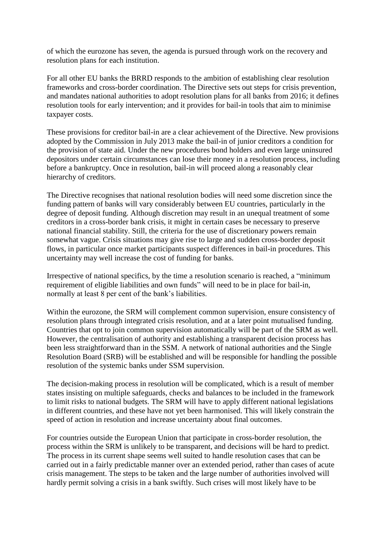of which the eurozone has seven, the agenda is pursued through work on the recovery and resolution plans for each institution.

For all other EU banks the BRRD responds to the ambition of establishing clear resolution frameworks and cross-border coordination. The Directive sets out steps for crisis prevention, and mandates national authorities to adopt resolution plans for all banks from 2016; it defines resolution tools for early intervention; and it provides for bail-in tools that aim to minimise taxpayer costs.

These provisions for creditor bail-in are a clear achievement of the Directive. New provisions adopted by the Commission in July 2013 make the bail-in of junior creditors a condition for the provision of state aid. Under the new procedures bond holders and even large uninsured depositors under certain circumstances can lose their money in a resolution process, including before a bankruptcy. Once in resolution, bail-in will proceed along a reasonably clear hierarchy of creditors.

The Directive recognises that national resolution bodies will need some discretion since the funding pattern of banks will vary considerably between EU countries, particularly in the degree of deposit funding. Although discretion may result in an unequal treatment of some creditors in a cross-border bank crisis, it might in certain cases be necessary to preserve national financial stability. Still, the criteria for the use of discretionary powers remain somewhat vague. Crisis situations may give rise to large and sudden cross-border deposit flows, in particular once market participants suspect differences in bail-in procedures. This uncertainty may well increase the cost of funding for banks.

Irrespective of national specifics, by the time a resolution scenario is reached, a "minimum requirement of eligible liabilities and own funds" will need to be in place for bail-in, normally at least 8 per cent of the bank's liabilities.

Within the eurozone, the SRM will complement common supervision, ensure consistency of resolution plans through integrated crisis resolution, and at a later point mutualised funding. Countries that opt to join common supervision automatically will be part of the SRM as well. However, the centralisation of authority and establishing a transparent decision process has been less straightforward than in the SSM. A network of national authorities and the Single Resolution Board (SRB) will be established and will be responsible for handling the possible resolution of the systemic banks under SSM supervision.

The decision-making process in resolution will be complicated, which is a result of member states insisting on multiple safeguards, checks and balances to be included in the framework to limit risks to national budgets. The SRM will have to apply different national legislations in different countries, and these have not yet been harmonised. This will likely constrain the speed of action in resolution and increase uncertainty about final outcomes.

For countries outside the European Union that participate in cross-border resolution, the process within the SRM is unlikely to be transparent, and decisions will be hard to predict. The process in its current shape seems well suited to handle resolution cases that can be carried out in a fairly predictable manner over an extended period, rather than cases of acute crisis management. The steps to be taken and the large number of authorities involved will hardly permit solving a crisis in a bank swiftly. Such crises will most likely have to be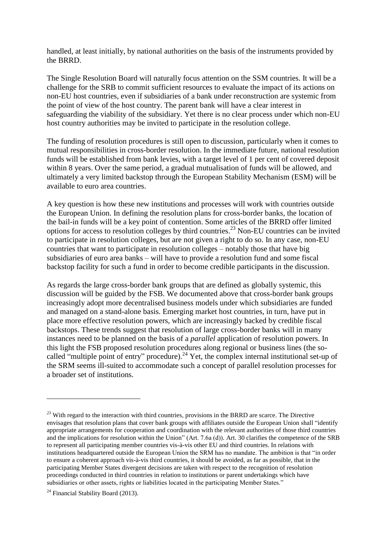handled, at least initially, by national authorities on the basis of the instruments provided by the BRRD.

The Single Resolution Board will naturally focus attention on the SSM countries. It will be a challenge for the SRB to commit sufficient resources to evaluate the impact of its actions on non-EU host countries, even if subsidiaries of a bank under reconstruction are systemic from the point of view of the host country. The parent bank will have a clear interest in safeguarding the viability of the subsidiary. Yet there is no clear process under which non-EU host country authorities may be invited to participate in the resolution college.

The funding of resolution procedures is still open to discussion, particularly when it comes to mutual responsibilities in cross-border resolution. In the immediate future, national resolution funds will be established from bank levies, with a target level of 1 per cent of covered deposit within 8 years. Over the same period, a gradual mutualisation of funds will be allowed, and ultimately a very limited backstop through the European Stability Mechanism (ESM) will be available to euro area countries.

A key question is how these new institutions and processes will work with countries outside the European Union. In defining the resolution plans for cross-border banks, the location of the bail-in funds will be a key point of contention. Some articles of the BRRD offer limited options for access to resolution colleges by third countries. <sup>23</sup> Non-EU countries can be invited to participate in resolution colleges, but are not given a right to do so. In any case, non-EU countries that want to participate in resolution colleges – notably those that have big subsidiaries of euro area banks – will have to provide a resolution fund and some fiscal backstop facility for such a fund in order to become credible participants in the discussion.

As regards the large cross-border bank groups that are defined as globally systemic, this discussion will be guided by the FSB. We documented above that cross-border bank groups increasingly adopt more decentralised business models under which subsidiaries are funded and managed on a stand-alone basis. Emerging market host countries, in turn, have put in place more effective resolution powers, which are increasingly backed by credible fiscal backstops. These trends suggest that resolution of large cross-border banks will in many instances need to be planned on the basis of a *parallel* application of resolution powers. In this light the FSB proposed resolution procedures along regional or business lines (the socalled "multiple point of entry" procedure).<sup>24</sup> Yet, the complex internal institutional set-up of the SRM seems ill-suited to accommodate such a concept of parallel resolution processes for a broader set of institutions.

<sup>&</sup>lt;sup>23</sup> With regard to the interaction with third countries, provisions in the BRRD are scarce. The Directive envisages that resolution plans that cover bank groups with affiliates outside the European Union shall "identify appropriate arrangements for cooperation and coordination with the relevant authorities of those third countries and the implications for resolution within the Union" (Art. 7.6a (d))*.* Art. 30 clarifies the competence of the SRB to represent all participating member countries vis-à-vis other EU and third countries. In relations with institutions headquartered outside the European Union the SRM has no mandate. The ambition is that "in order to ensure a coherent approach vis-à-vis third countries, it should be avoided, as far as possible, that in the participating Member States divergent decisions are taken with respect to the recognition of resolution proceedings conducted in third countries in relation to institutions or parent undertakings which have subsidiaries or other assets, rights or liabilities located in the participating Member States."

 $24$  Financial Stability Board (2013).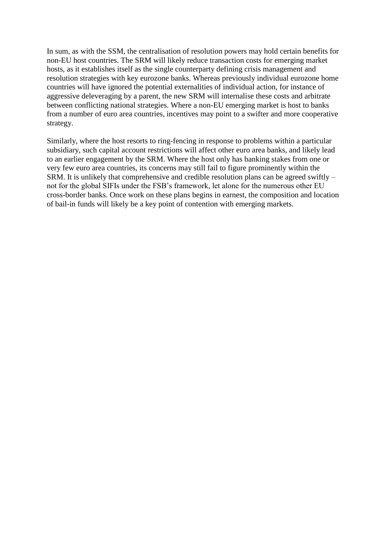In sum, as with the SSM, the centralisation of resolution powers may hold certain benefits for non-EU host countries. The SRM will likely reduce transaction costs for emerging market hosts, as it establishes itself as the single counterparty defining crisis management and resolution strategies with key eurozone banks. Whereas previously individual eurozone home countries will have ignored the potential externalities of individual action, for instance of aggressive deleveraging by a parent, the new SRM will internalise these costs and arbitrate between conflicting national strategies. Where a non-EU emerging market is host to banks from a number of euro area countries, incentives may point to a swifter and more cooperative strategy.

Similarly, where the host resorts to ring-fencing in response to problems within a particular subsidiary, such capital account restrictions will affect other euro area banks, and likely lead to an earlier engagement by the SRM. Where the host only has banking stakes from one or very few euro area countries, its concerns may still fail to figure prominently within the SRM. It is unlikely that comprehensive and credible resolution plans can be agreed swiftly – not for the global SIFIs under the FSB's framework, let alone for the numerous other EU cross-border banks. Once work on these plans begins in earnest, the composition and location of bail-in funds will likely be a key point of contention with emerging markets.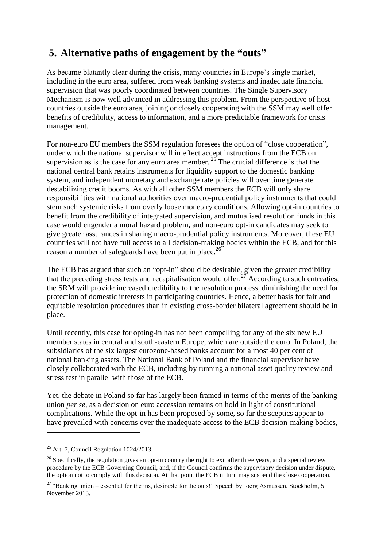# **5. Alternative paths of engagement by the "outs"**

As became blatantly clear during the crisis, many countries in Europe's single market, including in the euro area, suffered from weak banking systems and inadequate financial supervision that was poorly coordinated between countries. The Single Supervisory Mechanism is now well advanced in addressing this problem. From the perspective of host countries outside the euro area, joining or closely cooperating with the SSM may well offer benefits of credibility, access to information, and a more predictable framework for crisis management.

For non-euro EU members the SSM regulation foresees the option of "close cooperation", under which the national supervisor will in effect accept instructions from the ECB on supervision as is the case for any euro area member.  $25$  The crucial difference is that the national central bank retains instruments for liquidity support to the domestic banking system, and independent monetary and exchange rate policies will over time generate destabilizing credit booms. As with all other SSM members the ECB will only share responsibilities with national authorities over macro-prudential policy instruments that could stem such systemic risks from overly loose monetary conditions. Allowing opt-in countries to benefit from the credibility of integrated supervision, and mutualised resolution funds in this case would engender a moral hazard problem, and non-euro opt-in candidates may seek to give greater assurances in sharing macro-prudential policy instruments. Moreover, these EU countries will not have full access to all decision-making bodies within the ECB, and for this reason a number of safeguards have been put in place.<sup>26</sup>

The ECB has argued that such an "opt-in" should be desirable, given the greater credibility that the preceding stress tests and recapitalisation would offer.<sup>27</sup> According to such entreaties, the SRM will provide increased credibility to the resolution process, diminishing the need for protection of domestic interests in participating countries. Hence, a better basis for fair and equitable resolution procedures than in existing cross-border bilateral agreement should be in place.

Until recently, this case for opting-in has not been compelling for any of the six new EU member states in central and south-eastern Europe, which are outside the euro. In Poland, the subsidiaries of the six largest eurozone-based banks account for almost 40 per cent of national banking assets. The National Bank of Poland and the financial supervisor have closely collaborated with the ECB, including by running a national asset quality review and stress test in parallel with those of the ECB.

Yet, the debate in Poland so far has largely been framed in terms of the merits of the banking union *per se*, as a decision on euro accession remains on hold in light of constitutional complications. While the opt-in has been proposed by some, so far the sceptics appear to have prevailed with concerns over the inadequate access to the ECB decision-making bodies,

<sup>&</sup>lt;sup>25</sup> Art. 7, Council Regulation  $1024/2013$ .

 $26$  Specifically, the regulation gives an opt-in country the right to exit after three years, and a special review procedure by the ECB Governing Council, and, if the Council confirms the supervisory decision under dispute, the option not to comply with this decision. At that point the ECB in turn may suspend the close cooperation.

 $27$  "Banking union – essential for the ins, desirable for the outs!" Speech by Joerg Asmussen, Stockholm, 5 November 2013.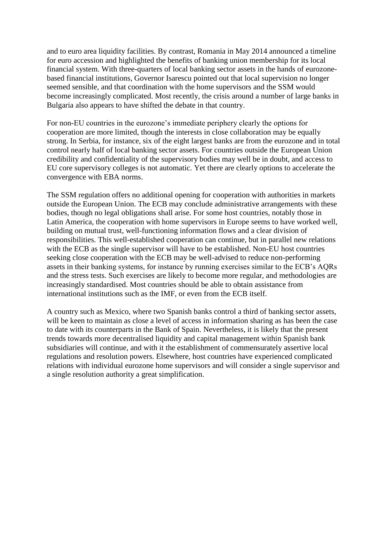and to euro area liquidity facilities. By contrast, Romania in May 2014 announced a timeline for euro accession and highlighted the benefits of banking union membership for its local financial system. With three-quarters of local banking sector assets in the hands of eurozonebased financial institutions, Governor Isarescu pointed out that local supervision no longer seemed sensible, and that coordination with the home supervisors and the SSM would become increasingly complicated. Most recently, the crisis around a number of large banks in Bulgaria also appears to have shifted the debate in that country.

For non-EU countries in the eurozone's immediate periphery clearly the options for cooperation are more limited, though the interests in close collaboration may be equally strong. In Serbia, for instance, six of the eight largest banks are from the eurozone and in total control nearly half of local banking sector assets. For countries outside the European Union credibility and confidentiality of the supervisory bodies may well be in doubt, and access to EU core supervisory colleges is not automatic. Yet there are clearly options to accelerate the convergence with EBA norms.

The SSM regulation offers no additional opening for cooperation with authorities in markets outside the European Union. The ECB may conclude administrative arrangements with these bodies, though no legal obligations shall arise. For some host countries, notably those in Latin America, the cooperation with home supervisors in Europe seems to have worked well, building on mutual trust, well-functioning information flows and a clear division of responsibilities. This well-established cooperation can continue, but in parallel new relations with the ECB as the single supervisor will have to be established. Non-EU host countries seeking close cooperation with the ECB may be well-advised to reduce non-performing assets in their banking systems, for instance by running exercises similar to the ECB's AQRs and the stress tests. Such exercises are likely to become more regular, and methodologies are increasingly standardised. Most countries should be able to obtain assistance from international institutions such as the IMF, or even from the ECB itself.

A country such as Mexico, where two Spanish banks control a third of banking sector assets, will be keen to maintain as close a level of access in information sharing as has been the case to date with its counterparts in the Bank of Spain. Nevertheless, it is likely that the present trends towards more decentralised liquidity and capital management within Spanish bank subsidiaries will continue, and with it the establishment of commensurately assertive local regulations and resolution powers. Elsewhere, host countries have experienced complicated relations with individual eurozone home supervisors and will consider a single supervisor and a single resolution authority a great simplification.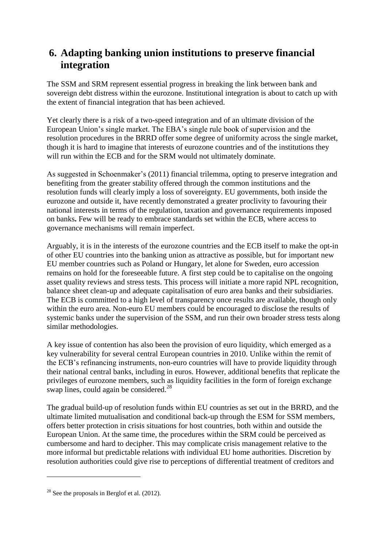# **6. Adapting banking union institutions to preserve financial integration**

The SSM and SRM represent essential progress in breaking the link between bank and sovereign debt distress within the eurozone. Institutional integration is about to catch up with the extent of financial integration that has been achieved.

Yet clearly there is a risk of a two-speed integration and of an ultimate division of the European Union's single market. The EBA's single rule book of supervision and the resolution procedures in the BRRD offer some degree of uniformity across the single market, though it is hard to imagine that interests of eurozone countries and of the institutions they will run within the ECB and for the SRM would not ultimately dominate.

As suggested in Schoenmaker's (2011) financial trilemma, opting to preserve integration and benefiting from the greater stability offered through the common institutions and the resolution funds will clearly imply a loss of sovereignty. EU governments, both inside the eurozone and outside it, have recently demonstrated a greater proclivity to favouring their national interests in terms of the regulation, taxation and governance requirements imposed on banks**.** Few will be ready to embrace standards set within the ECB, where access to governance mechanisms will remain imperfect.

Arguably, it is in the interests of the eurozone countries and the ECB itself to make the opt-in of other EU countries into the banking union as attractive as possible, but for important new EU member countries such as Poland or Hungary, let alone for Sweden, euro accession remains on hold for the foreseeable future. A first step could be to capitalise on the ongoing asset quality reviews and stress tests. This process will initiate a more rapid NPL recognition, balance sheet clean-up and adequate capitalisation of euro area banks and their subsidiaries. The ECB is committed to a high level of transparency once results are available, though only within the euro area. Non-euro EU members could be encouraged to disclose the results of systemic banks under the supervision of the SSM, and run their own broader stress tests along similar methodologies.

A key issue of contention has also been the provision of euro liquidity, which emerged as a key vulnerability for several central European countries in 2010. Unlike within the remit of the ECB's refinancing instruments, non-euro countries will have to provide liquidity through their national central banks, including in euros. However, additional benefits that replicate the privileges of eurozone members, such as liquidity facilities in the form of foreign exchange swap lines, could again be considered. $^{28}$ 

The gradual build-up of resolution funds within EU countries as set out in the BRRD, and the ultimate limited mutualisation and conditional back-up through the ESM for SSM members, offers better protection in crisis situations for host countries, both within and outside the European Union. At the same time, the procedures within the SRM could be perceived as cumbersome and hard to decipher. This may complicate crisis management relative to the more informal but predictable relations with individual EU home authorities. Discretion by resolution authorities could give rise to perceptions of differential treatment of creditors and

 $28$  See the proposals in Berglof et al. (2012).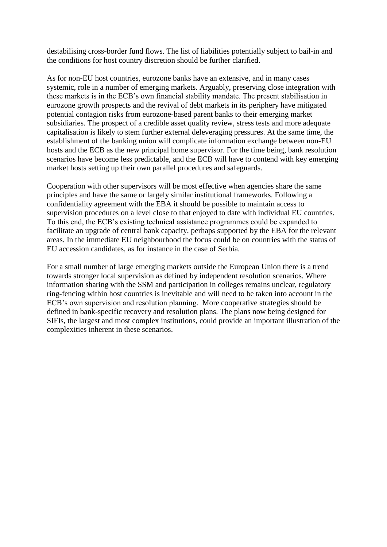destabilising cross-border fund flows. The list of liabilities potentially subject to bail-in and the conditions for host country discretion should be further clarified.

As for non-EU host countries, eurozone banks have an extensive, and in many cases systemic, role in a number of emerging markets. Arguably, preserving close integration with these markets is in the ECB's own financial stability mandate. The present stabilisation in eurozone growth prospects and the revival of debt markets in its periphery have mitigated potential contagion risks from eurozone-based parent banks to their emerging market subsidiaries. The prospect of a credible asset quality review, stress tests and more adequate capitalisation is likely to stem further external deleveraging pressures. At the same time, the establishment of the banking union will complicate information exchange between non-EU hosts and the ECB as the new principal home supervisor. For the time being, bank resolution scenarios have become less predictable, and the ECB will have to contend with key emerging market hosts setting up their own parallel procedures and safeguards.

Cooperation with other supervisors will be most effective when agencies share the same principles and have the same or largely similar institutional frameworks. Following a confidentiality agreement with the EBA it should be possible to maintain access to supervision procedures on a level close to that enjoyed to date with individual EU countries. To this end, the ECB's existing technical assistance programmes could be expanded to facilitate an upgrade of central bank capacity, perhaps supported by the EBA for the relevant areas. In the immediate EU neighbourhood the focus could be on countries with the status of EU accession candidates, as for instance in the case of Serbia.

For a small number of large emerging markets outside the European Union there is a trend towards stronger local supervision as defined by independent resolution scenarios. Where information sharing with the SSM and participation in colleges remains unclear, regulatory ring-fencing within host countries is inevitable and will need to be taken into account in the ECB's own supervision and resolution planning. More cooperative strategies should be defined in bank-specific recovery and resolution plans. The plans now being designed for SIFIs, the largest and most complex institutions, could provide an important illustration of the complexities inherent in these scenarios.